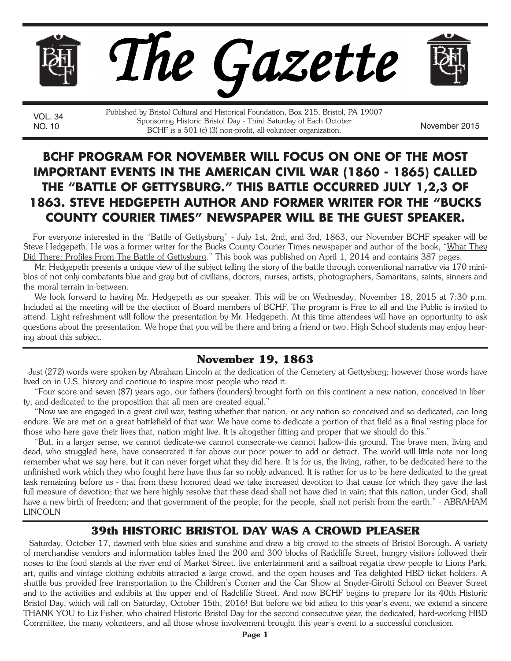

VOL. 34

NO. 10 Sponsoring instant Briston Day Trind Saturday of Each October<br>BCHF is a 501 (c) (3) non-profit, all volunteer organization. Published by Bristol Cultural and Historical Foundation, Box 215, Bristol, PA 19007 Sponsoring Historic Bristol Day - Third Saturday of Each October

# **BCHF PROGRAM FOR NOVEMBER WILL FOCUS ON ONE OF THE MOST IMPORTANT EVENTS IN THE AMERICAN CIVIL WAR (1860 - 1865) CALLED THE "BATTLE OF GETTYSBURG." THIS BATTLE OCCURRED JULY 1,2,3 OF 1863. STEVE HEDGEPETH AUTHOR AND FORMER WRITER FOR THE "BUCKS COUNTY COURIER TIMES" NEWSPAPER WILL BE THE GUEST SPEAKER.**

For everyone interested in the "Battle of Gettysburg" - July 1st, 2nd, and 3rd, 1863, our November BCHF speaker will be Steve Hedgepeth. He was a former writer for the Bucks County Courier Times newspaper and author of the book, "What They Did There: Profiles From The Battle of Gettysburg." This book was published on April 1, 2014 and contains 387 pages.

Mr. Hedgepeth presents a unique view of the subject telling the story of the battle through conventional narrative via 170 minibios of not only combatants blue and gray but of civilians, doctors, nurses, artists, photographers, Samaritans, saints, sinners and the moral terrain in-between.

We look forward to having Mr. Hedgepeth as our speaker. This will be on Wednesday, November 18, 2015 at 7:30 p.m. Included at the meeting will be the election of Board members of BCHF. The program is Free to all and the Public is invited to attend. Light refreshment will follow the presentation by Mr. Hedgepeth. At this time attendees will have an opportunity to ask questions about the presentation. We hope that you will be there and bring a friend or two. High School students may enjoy hearing about this subject.

### **November 19, 1863**

Just (272) words were spoken by Abraham Lincoln at the dedication of the Cemetery at Gettysburg; however those words have lived on in U.S. history and continue to inspire most people who read it.

"Four score and seven (87) years ago, our fathers (founders) brought forth on this continent a new nation, conceived in liberty, and dedicated to the proposition that all men are created equal."

"Now we are engaged in a great civil war, testing whether that nation, or any nation so conceived and so dedicated, can long endure. We are met on a great battlefield of that war. We have come to dedicate a portion of that field as a final resting place for those who here gave their lives that, nation might live. It is altogether fitting and proper that we should do this."

"But, in a larger sense, we cannot dedicate-we cannot consecrate-we cannot hallow-this ground. The brave men, living and dead, who struggled here, have consecrated it far above our poor power to add or detract. The world will little note nor long remember what we say here, but it can never forget what they did here. It is for us, the living, rather, to be dedicated here to the unfinished work which they who fought here have thus far so nobly advanced. It is rather for us to be here dedicated to the great task remaining before us - that from these honored dead we take increased devotion to that cause for which they gave the last full measure of devotion; that we here highly resolve that these dead shall not have died in vain; that this nation, under God, shall have a new birth of freedom; and that government of the people, for the people, shall not perish from the earth." - ABRAHAM LINCOLN

### **39th HISTORIC BRISTOL DAY WAS A CROWD PLEASER**

Saturday, October 17, dawned with blue skies and sunshine and drew a big crowd to the streets of Bristol Borough. A variety of merchandise vendors and information tables lined the 200 and 300 blocks of Radcliffe Street, hungry visitors followed their noses to the food stands at the river end of Market Street, live entertainment and a sailboat regatta drew people to Lions Park; art, quilts and vintage clothing exhibits attracted a large crowd, and the open houses and Tea delighted HBD ticket holders. A shuttle bus provided free transportation to the Children's Corner and the Car Show at Snyder-Girotti School on Beaver Street and to the activities and exhibits at the upper end of Radcliffe Street. And now BCHF begins to prepare for its 40th Historic Bristol Day, which will fall on Saturday, October 15th, 2016! But before we bid adieu to this year's event, we extend a sincere THANK YOU to Liz Fisher, who chaired Historic Bristol Day for the second consecutive year, the dedicated, hard-working HBD Committee, the many volunteers, and all those whose involvement brought this year's event to a successful conclusion.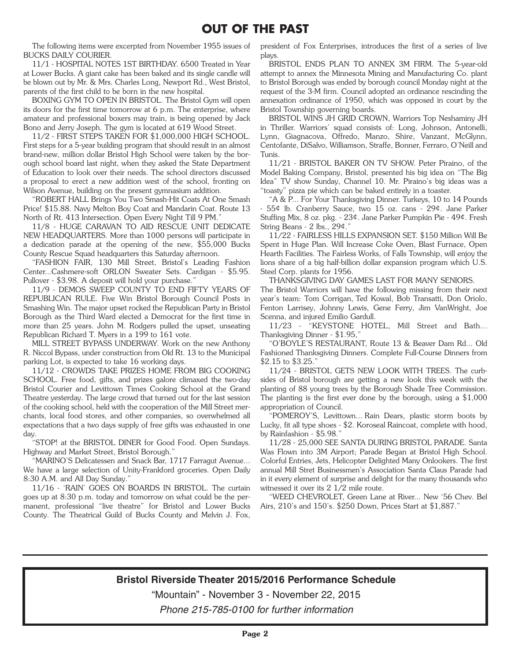The following items were excerpted from November 1955 issues of BUCKS DAILY COURIER.

11/1 - HOSPITAL NOTES 1ST BIRTHDAY. 6500 Treated in Year at Lower Bucks. A giant cake has been baked and its single candle will be blown out by Mr. & Mrs. Charles Long, Newport Rd., West Bristol, parents of the first child to be born in the new hospital.

BOXING GYM TO OPEN IN BRISTOL. The Bristol Gym will open its doors for the first time tomorrow at 6 p.m. The enterprise, where amateur and professional boxers may train, is being opened by Jack Bono and Jerry Joseph. The gym is located at 619 Wood Street.

11/2 - FIRST STEPS TAKEN FOR \$1,000,000 HIGH SCHOOL. First steps for a 5-year building program that should result in an almost brand-new, million dollar Bristol High School were taken by the borough school board last night, when they asked the State Department of Education to look over their needs. The school directors discussed a proposal to erect a new addition west of the school, fronting on Wilson Avenue, building on the present gymnasium addition.

"ROBERT HALL Brings You Two Smash-Hit Coats At One Smash Price! \$15.88. Navy Melton Boy Coat and Mandarin Coat. Route 13 North of Rt. 413 Intersection. Open Every Night Till 9 PM."

11/8 - HUGE CARAVAN TO AID RESCUE UNIT DEDICATE NEW HEADQUARTERS. More than 1000 persons will participate in a dedication parade at the opening of the new, \$55,000 Bucks County Rescue Squad headquarters this Saturday afternoon.

"FASHION FAIR, 130 Mill Street, Bristol's Leading Fashion Center...Cashmere-soft ORLON Sweater Sets. Cardigan - \$5.95. Pullover - \$3.98. A deposit will hold your purchase."

11/9 - DEMOS SWEEP COUNTY TO END FIFTY YEARS OF REPUBLICAN RULE. Five Win Bristol Borough Council Posts in Smashing Win. The major upset rocked the Republican Party in Bristol Borough as the Third Ward elected a Democrat for the first time in more than 25 years. John M. Rodgers pulled the upset, unseating Republican Richard T. Myers in a 199 to 161 vote.

MILL STREET BYPASS UNDERWAY. Work on the new Anthony R. Niccol Bypass, under construction from Old Rt. 13 to the Municipal parking Lot, is expected to take 16 working days.

11/12 - CROWDS TAKE PRIZES HOME FROM BIG COOKING SCHOOL. Free food, gifts, and prizes galore climaxed the two-day Bristol Courier and Levittown Times Cooking School at the Grand Theatre yesterday. The large crowd that turned out for the last session of the cooking school, held with the cooperation of the Mill Street merchants, local food stores, and other companies, so overwhelmed all expectations that a two days supply of free gifts was exhausted in one day.

"STOP! at the BRISTOL DINER for Good Food. Open Sundays. Highway and Market Street, Bristol Borough."

"MARINO'S Delicatessen and Snack Bar, 1717 Farragut Avenue... We have a large selection of Unity-Frankford groceries. Open Daily 8:30 A.M. and All Day Sunday."

11/16 - 'RAIN' GOES ON BOARDS IN BRISTOL. The curtain goes up at 8:30 p.m. today and tomorrow on what could be the permanent, professional "live theatre" for Bristol and Lower Bucks County. The Theatrical Guild of Bucks County and Melvin J. Fox,

president of Fox Enterprises, introduces the first of a series of live plays.

BRISTOL ENDS PLAN TO ANNEX 3M FIRM. The 5-year-old attempt to annex the Minnesota Mining and Manufacturing Co. plant to Bristol Borough was ended by borough council Monday night at the request of the 3-M firm. Council adopted an ordinance rescinding the annexation ordinance of 1950, which was opposed in court by the Bristol Township governing boards.

BRISTOL WINS JH GRID CROWN, Warriors Top Neshaminy JH in Thriller. Warriors' squad consists of: Long, Johnson, Antonelli, Lynn, Giagnacova, Offredo, Manzo, Shire, Vanzant, McGlynn, Centofante, DiSalvo, Williamson, Straffe, Bonner, Ferraro, O'Neill and Tunis.

11/21 - BRISTOL BAKER ON TV SHOW. Peter Piraino, of the Model Baking Company, Bristol, presented his big idea on "The Big Idea" TV show Sunday, Channel 10. Mr. Piraino's big ideas was a "toasty" pizza pie which can be baked entirely in a toaster.

"A & P... For Your Thanksgiving Dinner. Turkeys, 10 to 14 Pounds - 55¢ lb. Cranberry Sauce, two 15 oz. cans - 29¢. Jane Parker Stuffing Mix, 8 oz. pkg. - 23¢. Jane Parker Pumpkin Pie - 49¢. Fresh String Beans - 2 lbs., 29¢."

11/22 - FAIRLESS HILLS EXPANSION SET. \$150 Million Will Be Spent in Huge Plan. Will Increase Coke Oven, Blast Furnace, Open Hearth Facilities. The Fairless Works, of Falls Township, will enjoy the lions share of a big half-billion dollar expansion program which U.S. Steel Corp. plants for 1956.

THANKSGIVING DAY GAMES LAST FOR MANY SENIORS. The Bristol Warriors will have the following missing from their next year's team: Tom Corrigan, Ted Kowal, Bob Transatti, Don Oriolo, Fenton Larrisey, Johnny Lewis, Gene Ferry, Jim VanWright, Joe Scenna, and injured Emilio Gardull.

11/23 - "KEYSTONE HOTEL, Mill Street and Bath... Thanksgiving Dinner - \$1.95,"

"O'BOYLE'S RESTAURANT, Route 13 & Beaver Dam Rd... Old Fashioned Thanksgiving Dinners. Complete Full-Course Dinners from \$2.15 to \$3.25."

11/24 - BRISTOL GETS NEW LOOK WITH TREES. The curbsides of Bristol borough are getting a new look this week with the planting of 88 young trees by the Borough Shade Tree Commission. The planting is the first ever done by the borough, using a \$1,000 appropriation of Council.

"POMEROY'S, Levittown... Rain Dears, plastic storm boots by Lucky, fit all type shoes - \$2. Koroseal Raincoat, complete with hood, by Rainfashion - \$5.98."

11/28 - 25,000 SEE SANTA DURING BRISTOL PARADE. Santa Was Flown into 3M Airport; Parade Began at Bristol High School. Colorful Entries, Jets, Helicopter Delighted Many Onlookers. The first annual Mill Stret Businessmen's Association Santa Claus Parade had in it every element of surprise and delight for the many thousands who witnessed it over its 2 1/2 mile route.

"WEED CHEVROLET, Green Lane at River... New '56 Chev. Bel Airs, 210's and 150's. \$250 Down, Prices Start at \$1,887."

### **Bristol Riverside Theater 2015/2016 Performance Schedule**

"Mountain" - November 3 - November 22, 2015 *Phone 215-785-0100 for further information*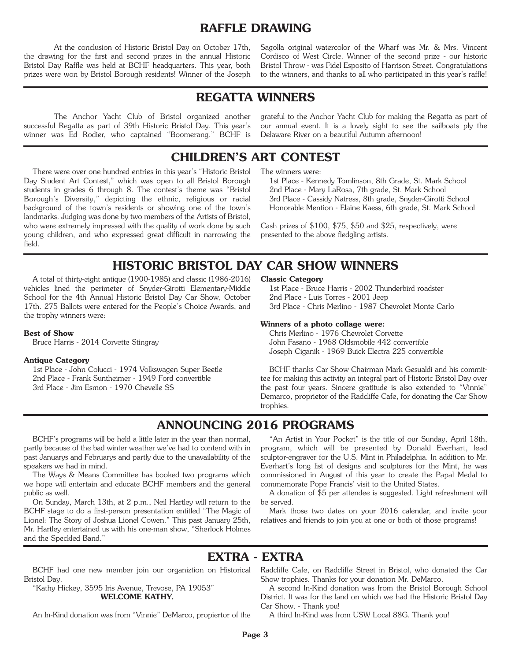## **RAFFLE DRAWING**

At the conclusion of Historic Bristol Day on October 17th, the drawing for the first and second prizes in the annual Historic Bristol Day Raffle was held at BCHF headquarters. This year, both prizes were won by Bristol Borough residents! Winner of the Joseph

Sagolla original watercolor of the Wharf was Mr. & Mrs. Vincent Cordisco of West Circle. Winner of the second prize - our historic Bristol Throw - was Fidel Esposito of Harrison Street. Congratulations to the winners, and thanks to all who participated in this year's raffle!

## **REGATTA WINNERS**

The Anchor Yacht Club of Bristol organized another successful Regatta as part of 39th Historic Bristol Day. This year's winner was Ed Rodier, who captained "Boomerang." BCHF is

grateful to the Anchor Yacht Club for making the Regatta as part of our annual event. It is a lovely sight to see the sailboats ply the Delaware River on a beautiful Autumn afternoon!

## **CHILDREN'S ART CONTEST**

There were over one hundred entries in this year's "Historic Bristol Day Student Art Contest," which was open to all Bristol Borough students in grades 6 through 8. The contest's theme was "Bristol Borough's Diversity," depicting the ethnic, religious or racial background of the town's residents or showing one of the town's landmarks. Judging was done by two members of the Artists of Bristol, who were extremely impressed with the quality of work done by such young children, and who expressed great difficult in narrowing the field.

The winners were:

1st Place - Kennedy Tomlinson, 8th Grade, St. Mark School 2nd Place - Mary LaRosa, 7th grade, St. Mark School 3rd Place - Cassidy Natress, 8th grade, Snyder-Girotti School Honorable Mention - Elaine Kaess, 6th grade, St. Mark School

Cash prizes of \$100, \$75, \$50 and \$25, respectively, were presented to the above fledgling artists.

## **HISTORIC BRISTOL DAY CAR SHOW WINNERS**

A total of thirty-eight antique (1900-1985) and classic (1986-2016) vehicles lined the perimeter of Snyder-Girotti Elementary-Middle School for the 4th Annual Historic Bristol Day Car Show, October 17th. 275 Ballots were entered for the People's Choice Awards, and the trophy winners were:

### **Best of Show**

Bruce Harris - 2014 Corvette Stingray

### **Antique Category**

1st Place - John Colucci - 1974 Volkswagen Super Beetle 2nd Place - Frank Suntheimer - 1949 Ford convertible 3rd Place - Jim Esmon - 1970 Chevelle SS

### **Classic Category**

1st Place - Bruce Harris - 2002 Thunderbird roadster 2nd Place - Luis Torres - 2001 Jeep 3rd Place - Chris Merlino - 1987 Chevrolet Monte Carlo

### **Winners of a photo collage were:**

Chris Merlino - 1976 Chevrolet Corvette John Fasano - 1968 Oldsmobile 442 convertible Joseph Ciganik - 1969 Buick Electra 225 convertible

BCHF thanks Car Show Chairman Mark Gesualdi and his committee for making this activity an integral part of Historic Bristol Day over the past four years. Sincere gratitude is also extended to "Vinnie" Demarco, proprietor of the Radcliffe Cafe, for donating the Car Show trophies.

## **ANNOUNCING 2016 PROGRAMS**

BCHF's programs will be held a little later in the year than normal, partly because of the bad winter weather we've had to contend with in past Januarys and Februarys and partly due to the unavailability of the speakers we had in mind.

The Ways & Means Committee has booked two programs which we hope will entertain and educate BCHF members and the general public as well.

On Sunday, March 13th, at 2 p.m., Neil Hartley will return to the BCHF stage to do a first-person presentation entitled "The Magic of Lionel: The Story of Joshua Lionel Cowen." This past January 25th, Mr. Hartley entertained us with his one-man show, "Sherlock Holmes and the Speckled Band."

"An Artist in Your Pocket" is the title of our Sunday, April 18th, program, which will be presented by Donald Everhart, lead sculptor-engraver for the U.S. Mint in Philadelphia. In addition to Mr. Everhart's long list of designs and sculptures for the Mint, he was commissioned in August of this year to create the Papal Medal to commemorate Pope Francis' visit to the United States.

A donation of \$5 per attendee is suggested. Light refreshment will be served.

Mark those two dates on your 2016 calendar, and invite your relatives and friends to join you at one or both of those programs!

## **EXTRA - EXTRA**

Bristol Day.

"Kathy Hickey, 3595 Iris Avenue, Trevose, PA 19053" **WELCOME KATHY.**

An In-Kind donation was from "Vinnie" DeMarco, propiertor of the

BCHF had one new member join our organiztion on Historical Radcliffe Cafe, on Radcliffe Street in Bristol, who donated the Car Show trophies. Thanks for your donation Mr. DeMarco.

A second In-Kind donation was from the Bristol Borough School District. It was for the land on which we had the Historic Bristol Day Car Show. - Thank you!

A third In-Kind was from USW Local 88G. Thank you!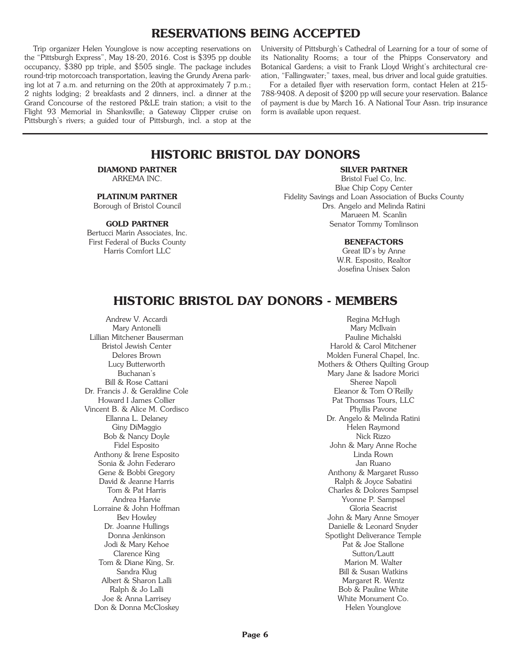## **RESERVATIONS BEING ACCEPTED**

Trip organizer Helen Younglove is now accepting reservations on the "Pittsburgh Express", May 18-20, 2016. Cost is \$395 pp double occupancy, \$380 pp triple, and \$505 single. The package includes round-trip motorcoach transportation, leaving the Grundy Arena parking lot at 7 a.m. and returning on the 20th at approximately 7 p.m.; 2 nights lodging; 2 breakfasts and 2 dinners, incl. a dinner at the Grand Concourse of the restored P&LE train station; a visit to the Flight 93 Memorial in Shanksville; a Gateway Clipper cruise on Pittsburgh's rivers; a guided tour of Pittsburgh, incl. a stop at the

University of Pittsburgh's Cathedral of Learning for a tour of some of its Nationality Rooms; a tour of the Phipps Conservatory and Botanical Gardens; a visit to Frank Lloyd Wright's architectural creation, "Fallingwater;" taxes, meal, bus driver and local guide gratuities.

For a detailed flyer with reservation form, contact Helen at 215- 788-9408. A deposit of \$200 pp will secure your reservation. Balance of payment is due by March 16. A National Tour Assn. trip insurance form is available upon request.

## **HISTORIC BRISTOL DAY DONORS**

#### **DIAMOND PARTNER** ARKEMA INC.

### **PLATINUM PARTNER**

Borough of Bristol Council

### **GOLD PARTNER**

Bertucci Marin Associates, Inc. First Federal of Bucks County Harris Comfort LLC

### **SILVER PARTNER**

Bristol Fuel Co, Inc. Blue Chip Copy Center Fidelity Savings and Loan Association of Bucks County Drs. Angelo and Melinda Ratini Marueen M. Scanlin Senator Tommy Tomlinson

### **BENEFACTORS**

Great ID's by Anne W.R. Esposito, Realtor Josefina Unisex Salon

## **HISTORIC BRISTOL DAY DONORS - MEMBERS**

Andrew V. Accardi Mary Antonelli Lillian Mitchener Bauserman Bristol Jewish Center Delores Brown Lucy Butterworth Buchanan's Bill & Rose Cattani Dr. Francis J. & Geraldine Cole Howard I James Collier Vincent B. & Alice M. Cordisco Ellanna L. Delaney Giny DiMaggio Bob & Nancy Doyle Fidel Esposito Anthony & Irene Esposito Sonia & John Federaro Gene & Bobbi Gregory David & Jeanne Harris Tom & Pat Harris Andrea Harvie Lorraine & John Hoffman Bev Howley Dr. Joanne Hullings Donna Jenkinson Jodi & Mary Kehoe Clarence King Tom & Diane King, Sr. Sandra Klug Albert & Sharon Lalli Ralph & Jo Lalli Joe & Anna Larrisey Don & Donna McCloskey

Regina McHugh Mary McIlvain Pauline Michalski Harold & Carol Mitchener Molden Funeral Chapel, Inc. Mothers & Others Quilting Group Mary Jane & Isadore Morici Sheree Napoli Eleanor & Tom O'Reilly Pat Thomsas Tours, LLC Phyllis Pavone Dr. Angelo & Melinda Ratini Helen Raymond Nick Rizzo John & Mary Anne Roche Linda Rown Jan Ruano Anthony & Margaret Russo Ralph & Joyce Sabatini Charles & Dolores Sampsel Yvonne P. Sampsel Gloria Seacrist John & Mary Anne Smoyer Danielle & Leonard Snyder Spotlight Deliverance Temple Pat & Joe Stallone Sutton/Lautt Marion M. Walter Bill & Susan Watkins Margaret R. Wentz Bob & Pauline White White Monument Co. Helen Younglove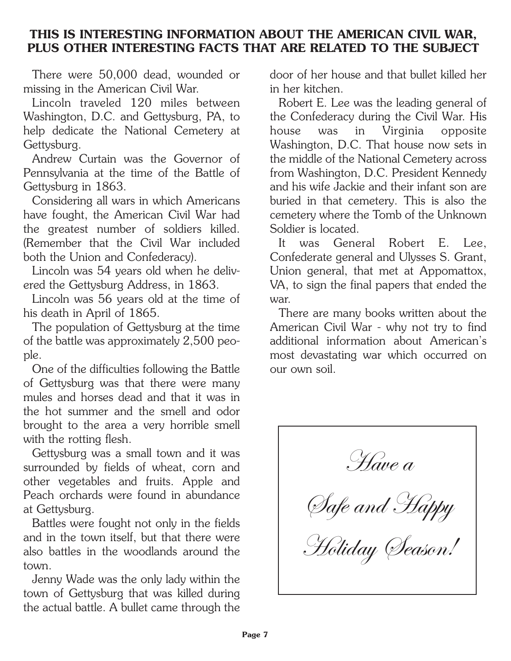# **THIS IS INTERESTING INFORMATION ABOUT THE AMERICAN CIVIL WAR, PLUS OTHER INTERESTING FACTS THAT ARE RELATED TO THE SUBJECT**

There were 50,000 dead, wounded or missing in the American Civil War.

Lincoln traveled 120 miles between Washington, D.C. and Gettysburg, PA, to help dedicate the National Cemetery at Gettysburg.

Andrew Curtain was the Governor of Pennsylvania at the time of the Battle of Gettysburg in 1863.

Considering all wars in which Americans have fought, the American Civil War had the greatest number of soldiers killed. (Remember that the Civil War included both the Union and Confederacy).

Lincoln was 54 years old when he delivered the Gettysburg Address, in 1863.

Lincoln was 56 years old at the time of his death in April of 1865.

The population of Gettysburg at the time of the battle was approximately 2,500 people.

One of the difficulties following the Battle of Gettysburg was that there were many mules and horses dead and that it was in the hot summer and the smell and odor brought to the area a very horrible smell with the rotting flesh.

Gettysburg was a small town and it was surrounded by fields of wheat, corn and other vegetables and fruits. Apple and Peach orchards were found in abundance at Gettysburg.

Battles were fought not only in the fields and in the town itself, but that there were also battles in the woodlands around the town.

Jenny Wade was the only lady within the town of Gettysburg that was killed during the actual battle. A bullet came through the door of her house and that bullet killed her in her kitchen.

Robert E. Lee was the leading general of the Confederacy during the Civil War. His house was in Virginia opposite Washington, D.C. That house now sets in the middle of the National Cemetery across from Washington, D.C. President Kennedy and his wife Jackie and their infant son are buried in that cemetery. This is also the cemetery where the Tomb of the Unknown Soldier is located.

It was General Robert E. Lee, Confederate general and Ulysses S. Grant, Union general, that met at Appomattox, VA, to sign the final papers that ended the war.

There are many books written about the American Civil War - why not try to find additional information about American's most devastating war which occurred on our own soil.

Have a Safe and Happy Holiday *Season!*